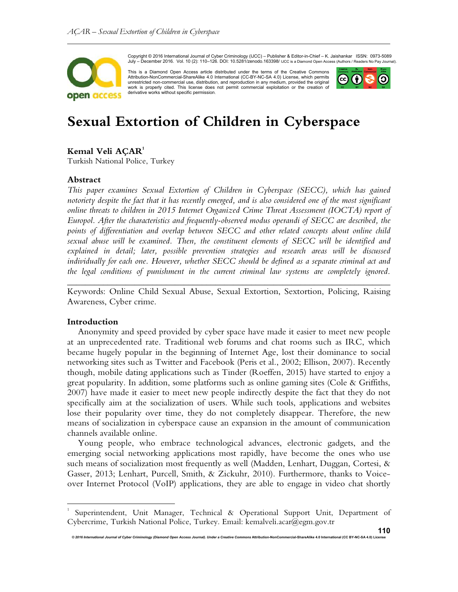

Copyright © 2016 International Journal of Cyber Criminology (IJCC) – Publisher & Editor-in-Chief – K. Jaishankar ISSN: 0973-5089 July – December 2016. Vol. 10 (2): 110–126. DOI: 10.5281/zenodo.163398/ IJCC is a Diamond Open Access (Authors / Readers No Pay Journal).

This is a Diamond Open Access article distributed under the terms of the Creative Commons Attribution-NonCommercial-ShareAlike 4.0 International (CC-BY-NC-SA 4.0) License, which permits unrestricted non-commercial use, distribution, and reproduction in any medium, provided the original work is properly cited. This license does not permit commercial exploitation or the creation of derivative works without specific permission.



# **Sexual Extortion of Children in Cyberspace**

# $\mathbf{Kemal}\;\mathbf{Veli}\;\mathbf{A}\mathbf{C}\mathbf{AR}^\mathbf{1}$

Turkish National Police, Turkey

#### **Abstract**

*This paper examines Sexual Extortion of Children in Cyberspace (SECC), which has gained notoriety despite the fact that it has recently emerged, and is also considered one of the most significant online threats to children in 2015 Internet Organized Crime Threat Assessment (IOCTA) report of Europol. After the characteristics and frequently-observed modus operandi of SECC are described, the points of differentiation and overlap between SECC and other related concepts about online child sexual abuse will be examined. Then, the constituent elements of SECC will be identified and explained in detail; later, possible prevention strategies and research areas will be discussed individually for each one. However, whether SECC should be defined as a separate criminal act and the legal conditions of punishment in the current criminal law systems are completely ignored.* 

Keywords: Online Child Sexual Abuse, Sexual Extortion, Sextortion, Policing, Raising Awareness, Cyber crime.

*\_\_\_\_\_\_\_\_\_\_\_\_\_\_\_\_\_\_\_\_\_\_\_\_\_\_\_\_\_\_\_\_\_\_\_\_\_\_\_\_\_\_\_\_\_\_\_\_\_\_\_\_\_\_\_\_\_\_\_\_\_\_\_\_\_\_\_\_\_\_\_\_* 

#### **Introduction**

l.

Anonymity and speed provided by cyber space have made it easier to meet new people at an unprecedented rate. Traditional web forums and chat rooms such as IRC, which became hugely popular in the beginning of Internet Age, lost their dominance to social networking sites such as Twitter and Facebook (Peris et al., 2002; Ellison, 2007). Recently though, mobile dating applications such as Tinder (Roeffen, 2015) have started to enjoy a great popularity. In addition, some platforms such as online gaming sites (Cole & Griffiths, 2007) have made it easier to meet new people indirectly despite the fact that they do not specifically aim at the socialization of users. While such tools, applications and websites lose their popularity over time, they do not completely disappear. Therefore, the new means of socialization in cyberspace cause an expansion in the amount of communication channels available online.

Young people, who embrace technological advances, electronic gadgets, and the emerging social networking applications most rapidly, have become the ones who use such means of socialization most frequently as well (Madden, Lenhart, Duggan, Cortesi, & Gasser, 2013; Lenhart, Purcell, Smith, & Zickuhr, 2010). Furthermore, thanks to Voiceover Internet Protocol (VoIP) applications, they are able to engage in video chat shortly

<sup>1</sup> Superintendent, Unit Manager, Technical & Operational Support Unit, Department of Cybercrime, Turkish National Police, Turkey. Email: kemalveli.acar@egm.gov.tr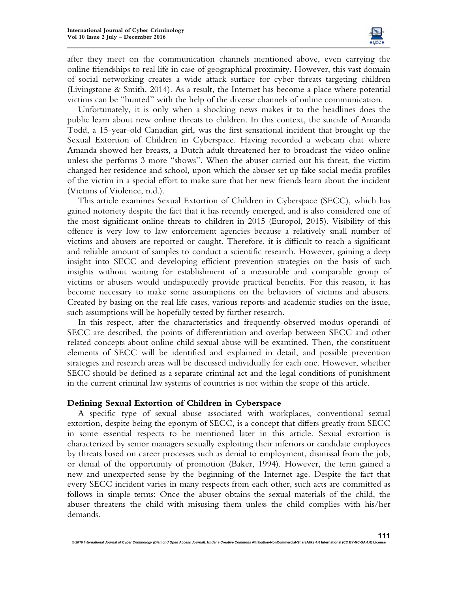

after they meet on the communication channels mentioned above, even carrying the online friendships to real life in case of geographical proximity. However, this vast domain of social networking creates a wide attack surface for cyber threats targeting children (Livingstone & Smith, 2014). As a result, the Internet has become a place where potential victims can be "hunted" with the help of the diverse channels of online communication.

Unfortunately, it is only when a shocking news makes it to the headlines does the public learn about new online threats to children. In this context, the suicide of Amanda Todd, a 15-year-old Canadian girl, was the first sensational incident that brought up the Sexual Extortion of Children in Cyberspace. Having recorded a webcam chat where Amanda showed her breasts, a Dutch adult threatened her to broadcast the video online unless she performs 3 more "shows". When the abuser carried out his threat, the victim changed her residence and school, upon which the abuser set up fake social media profiles of the victim in a special effort to make sure that her new friends learn about the incident (Victims of Violence, n.d.).

This article examines Sexual Extortion of Children in Cyberspace (SECC), which has gained notoriety despite the fact that it has recently emerged, and is also considered one of the most significant online threats to children in 2015 (Europol, 2015). Visibility of this offence is very low to law enforcement agencies because a relatively small number of victims and abusers are reported or caught. Therefore, it is difficult to reach a significant and reliable amount of samples to conduct a scientific research. However, gaining a deep insight into SECC and developing efficient prevention strategies on the basis of such insights without waiting for establishment of a measurable and comparable group of victims or abusers would undisputedly provide practical benefits. For this reason, it has become necessary to make some assumptions on the behaviors of victims and abusers. Created by basing on the real life cases, various reports and academic studies on the issue, such assumptions will be hopefully tested by further research.

In this respect, after the characteristics and frequently-observed modus operandi of SECC are described, the points of differentiation and overlap between SECC and other related concepts about online child sexual abuse will be examined. Then, the constituent elements of SECC will be identified and explained in detail, and possible prevention strategies and research areas will be discussed individually for each one. However, whether SECC should be defined as a separate criminal act and the legal conditions of punishment in the current criminal law systems of countries is not within the scope of this article.

## **Defining Sexual Extortion of Children in Cyberspace**

A specific type of sexual abuse associated with workplaces, conventional sexual extortion, despite being the eponym of SECC, is a concept that differs greatly from SECC in some essential respects to be mentioned later in this article. Sexual extortion is characterized by senior managers sexually exploiting their inferiors or candidate employees by threats based on career processes such as denial to employment, dismissal from the job, or denial of the opportunity of promotion (Baker, 1994). However, the term gained a new and unexpected sense by the beginning of the Internet age. Despite the fact that every SECC incident varies in many respects from each other, such acts are committed as follows in simple terms: Once the abuser obtains the sexual materials of the child, the abuser threatens the child with misusing them unless the child complies with his/her demands.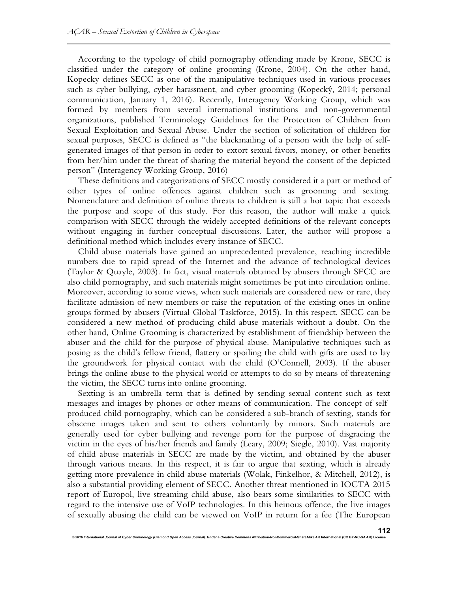According to the typology of child pornography offending made by Krone, SECC is classified under the category of online grooming (Krone, 2004). On the other hand, Kopecky defines SECC as one of the manipulative techniques used in various processes such as cyber bullying, cyber harassment, and cyber grooming (Kopecký, 2014; personal communication, January 1, 2016). Recently, Interagency Working Group, which was formed by members from several international institutions and non-governmental organizations, published Terminology Guidelines for the Protection of Children from Sexual Exploitation and Sexual Abuse. Under the section of solicitation of children for sexual purposes, SECC is defined as "the blackmailing of a person with the help of selfgenerated images of that person in order to extort sexual favors, money, or other benefits from her/him under the threat of sharing the material beyond the consent of the depicted person" (Interagency Working Group, 2016)

These definitions and categorizations of SECC mostly considered it a part or method of other types of online offences against children such as grooming and sexting. Nomenclature and definition of online threats to children is still a hot topic that exceeds the purpose and scope of this study. For this reason, the author will make a quick comparison with SECC through the widely accepted definitions of the relevant concepts without engaging in further conceptual discussions. Later, the author will propose a definitional method which includes every instance of SECC.

Child abuse materials have gained an unprecedented prevalence, reaching incredible numbers due to rapid spread of the Internet and the advance of technological devices (Taylor & Quayle, 2003). In fact, visual materials obtained by abusers through SECC are also child pornography, and such materials might sometimes be put into circulation online. Moreover, according to some views, when such materials are considered new or rare, they facilitate admission of new members or raise the reputation of the existing ones in online groups formed by abusers (Virtual Global Taskforce, 2015). In this respect, SECC can be considered a new method of producing child abuse materials without a doubt. On the other hand, Online Grooming is characterized by establishment of friendship between the abuser and the child for the purpose of physical abuse. Manipulative techniques such as posing as the child's fellow friend, flattery or spoiling the child with gifts are used to lay the groundwork for physical contact with the child (O'Connell, 2003). If the abuser brings the online abuse to the physical world or attempts to do so by means of threatening the victim, the SECC turns into online grooming.

Sexting is an umbrella term that is defined by sending sexual content such as text messages and images by phones or other means of communication. The concept of selfproduced child pornography, which can be considered a sub-branch of sexting, stands for obscene images taken and sent to others voluntarily by minors. Such materials are generally used for cyber bullying and revenge porn for the purpose of disgracing the victim in the eyes of his/her friends and family (Leary, 2009; Siegle, 2010). Vast majority of child abuse materials in SECC are made by the victim, and obtained by the abuser through various means. In this respect, it is fair to argue that sexting, which is already getting more prevalence in child abuse materials (Wolak, Finkelhor, & Mitchell, 2012), is also a substantial providing element of SECC. Another threat mentioned in IOCTA 2015 report of Europol, live streaming child abuse, also bears some similarities to SECC with regard to the intensive use of VoIP technologies. In this heinous offence, the live images of sexually abusing the child can be viewed on VoIP in return for a fee (The European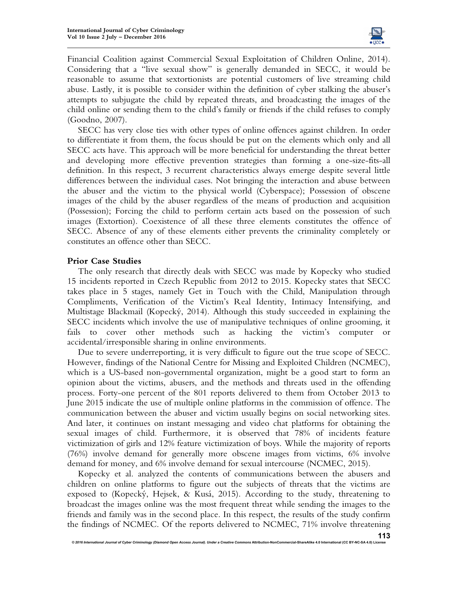

Financial Coalition against Commercial Sexual Exploitation of Children Online, 2014). Considering that a "live sexual show" is generally demanded in SECC, it would be reasonable to assume that sextortionists are potential customers of live streaming child abuse. Lastly, it is possible to consider within the definition of cyber stalking the abuser's attempts to subjugate the child by repeated threats, and broadcasting the images of the child online or sending them to the child's family or friends if the child refuses to comply (Goodno, 2007).

SECC has very close ties with other types of online offences against children. In order to differentiate it from them, the focus should be put on the elements which only and all SECC acts have. This approach will be more beneficial for understanding the threat better and developing more effective prevention strategies than forming a one-size-fits-all definition. In this respect, 3 recurrent characteristics always emerge despite several little differences between the individual cases. Not bringing the interaction and abuse between the abuser and the victim to the physical world (Cyberspace); Possession of obscene images of the child by the abuser regardless of the means of production and acquisition (Possession); Forcing the child to perform certain acts based on the possession of such images (Extortion). Coexistence of all these three elements constitutes the offence of SECC. Absence of any of these elements either prevents the criminality completely or constitutes an offence other than SECC.

## **Prior Case Studies**

The only research that directly deals with SECC was made by Kopecky who studied 15 incidents reported in Czech Republic from 2012 to 2015. Kopecky states that SECC takes place in 5 stages, namely Get in Touch with the Child, Manipulation through Compliments, Verification of the Victim's Real Identity, Intimacy Intensifying, and Multistage Blackmail (Kopecký, 2014). Although this study succeeded in explaining the SECC incidents which involve the use of manipulative techniques of online grooming, it fails to cover other methods such as hacking the victim's computer or accidental/irresponsible sharing in online environments.

Due to severe underreporting, it is very difficult to figure out the true scope of SECC. However, findings of the National Centre for Missing and Exploited Children (NCMEC), which is a US-based non-governmental organization, might be a good start to form an opinion about the victims, abusers, and the methods and threats used in the offending process. Forty-one percent of the 801 reports delivered to them from October 2013 to June 2015 indicate the use of multiple online platforms in the commission of offence. The communication between the abuser and victim usually begins on social networking sites. And later, it continues on instant messaging and video chat platforms for obtaining the sexual images of child. Furthermore, it is observed that 78% of incidents feature victimization of girls and 12% feature victimization of boys. While the majority of reports (76%) involve demand for generally more obscene images from victims, 6% involve demand for money, and 6% involve demand for sexual intercourse (NCMEC, 2015).

Kopecky et al. analyzed the contents of communications between the abusers and children on online platforms to figure out the subjects of threats that the victims are exposed to (Kopecký, Hejsek, & Kusá, 2015). According to the study, threatening to broadcast the images online was the most frequent threat while sending the images to the friends and family was in the second place. In this respect, the results of the study confirm the findings of NCMEC. Of the reports delivered to NCMEC, 71% involve threatening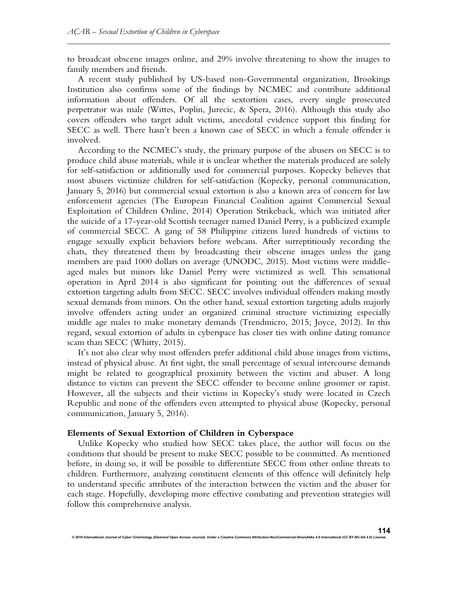to broadcast obscene images online, and 29% involve threatening to show the images to family members and friends.

A recent study published by US-based non-Governmental organization, Brookings Institution also confirms some of the findings by NCMEC and contribute additional information about offenders. Of all the sextortion cases, every single prosecuted perpetrator was male (Wittes, Poplin, Jurecic, & Spera, 2016). Although this study also covers offenders who target adult victims, anecdotal evidence support this finding for SECC as well. There hasn't been a known case of SECC in which a female offender is involved.

According to the NCMEC's study, the primary purpose of the abusers on SECC is to produce child abuse materials, while it is unclear whether the materials produced are solely for self-satisfaction or additionally used for commercial purposes. Kopecky believes that most abusers victimize children for self-satisfaction (Kopecky, personal communication, January 5, 2016) but commercial sexual extortion is also a known area of concern for law enforcement agencies (The European Financial Coalition against Commercial Sexual Exploitation of Children Online, 2014) Operation Strikeback, which was initiated after the suicide of a 17-year-old Scottish teenager named Daniel Perry, is a publicized example of commercial SECC. A gang of 58 Philippine citizens lured hundreds of victims to engage sexually explicit behaviors before webcam. After surreptitiously recording the chats, they threatened them by broadcasting their obscene images unless the gang members are paid 1000 dollars on average (UNODC, 2015). Most victims were middleaged males but minors like Daniel Perry were victimized as well. This sensational operation in April 2014 is also significant for pointing out the differences of sexual extortion targeting adults from SECC. SECC involves individual offenders making mostly sexual demands from minors. On the other hand, sexual extortion targeting adults majorly involve offenders acting under an organized criminal structure victimizing especially middle age males to make monetary demands (Trendmicro, 2015; Joyce, 2012). In this regard, sexual extortion of adults in cyberspace has closer ties with online dating romance scam than SECC (Whitty, 2015).

It's not also clear why most offenders prefer additional child abuse images from victims, instead of physical abuse. At first sight, the small percentage of sexual intercourse demands might be related to geographical proximity between the victim and abuser. A long distance to victim can prevent the SECC offender to become online groomer or rapist. However, all the subjects and their victims in Kopecky's study were located in Czech Republic and none of the offenders even attempted to physical abuse (Kopecky, personal communication, January 5, 2016).

## **Elements of Sexual Extortion of Children in Cyberspace**

Unlike Kopecky who studied how SECC takes place, the author will focus on the conditions that should be present to make SECC possible to be committed. As mentioned before, in doing so, it will be possible to differentiate SECC from other online threats to children. Furthermore, analyzing constituent elements of this offence will definitely help to understand specific attributes of the interaction between the victim and the abuser for each stage. Hopefully, developing more effective combating and prevention strategies will follow this comprehensive analysis.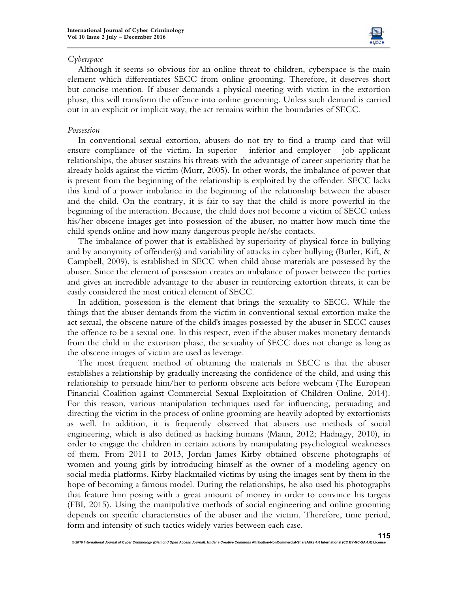

## *Cyberspace*

Although it seems so obvious for an online threat to children, cyberspace is the main element which differentiates SECC from online grooming. Therefore, it deserves short but concise mention. If abuser demands a physical meeting with victim in the extortion phase, this will transform the offence into online grooming. Unless such demand is carried out in an explicit or implicit way, the act remains within the boundaries of SECC.

## *Possession*

In conventional sexual extortion, abusers do not try to find a trump card that will ensure compliance of the victim. In superior - inferior and employer - job applicant relationships, the abuser sustains his threats with the advantage of career superiority that he already holds against the victim (Murr, 2005). In other words, the imbalance of power that is present from the beginning of the relationship is exploited by the offender. SECC lacks this kind of a power imbalance in the beginning of the relationship between the abuser and the child. On the contrary, it is fair to say that the child is more powerful in the beginning of the interaction. Because, the child does not become a victim of SECC unless his/her obscene images get into possession of the abuser, no matter how much time the child spends online and how many dangerous people he/she contacts.

The imbalance of power that is established by superiority of physical force in bullying and by anonymity of offender(s) and variability of attacks in cyber bullying (Butler, Kift, & Campbell, 2009), is established in SECC when child abuse materials are possessed by the abuser. Since the element of possession creates an imbalance of power between the parties and gives an incredible advantage to the abuser in reinforcing extortion threats, it can be easily considered the most critical element of SECC.

In addition, possession is the element that brings the sexuality to SECC. While the things that the abuser demands from the victim in conventional sexual extortion make the act sexual, the obscene nature of the child's images possessed by the abuser in SECC causes the offence to be a sexual one. In this respect, even if the abuser makes monetary demands from the child in the extortion phase, the sexuality of SECC does not change as long as the obscene images of victim are used as leverage.

The most frequent method of obtaining the materials in SECC is that the abuser establishes a relationship by gradually increasing the confidence of the child, and using this relationship to persuade him/her to perform obscene acts before webcam (The European Financial Coalition against Commercial Sexual Exploitation of Children Online, 2014). For this reason, various manipulation techniques used for influencing, persuading and directing the victim in the process of online grooming are heavily adopted by extortionists as well. In addition, it is frequently observed that abusers use methods of social engineering, which is also defined as hacking humans (Mann, 2012; Hadnagy, 2010), in order to engage the children in certain actions by manipulating psychological weaknesses of them. From 2011 to 2013, Jordan James Kirby obtained obscene photographs of women and young girls by introducing himself as the owner of a modeling agency on social media platforms. Kirby blackmailed victims by using the images sent by them in the hope of becoming a famous model. During the relationships, he also used his photographs that feature him posing with a great amount of money in order to convince his targets (FBI, 2015). Using the manipulative methods of social engineering and online grooming depends on specific characteristics of the abuser and the victim. Therefore, time period, form and intensity of such tactics widely varies between each case.

**nnal of Cyber Criminology (Diamond Open Access Journal). Under a Creative Commons Attribution-NonCommercial-ShareAlike 4.0 International (Cyber Criminology (Diamond). Unternational extensional (Diamond) extensional (Cybe**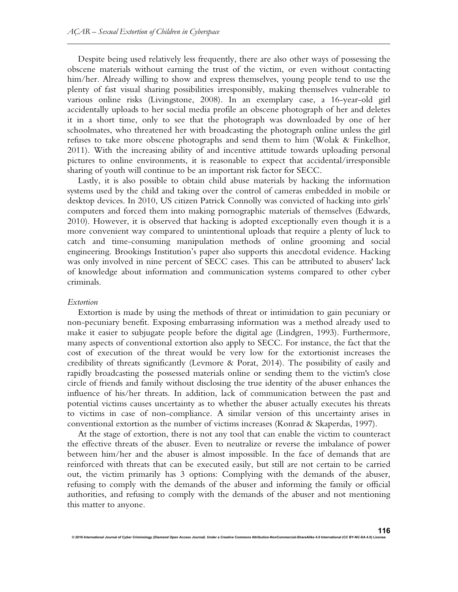Despite being used relatively less frequently, there are also other ways of possessing the obscene materials without earning the trust of the victim, or even without contacting him/her. Already willing to show and express themselves, young people tend to use the plenty of fast visual sharing possibilities irresponsibly, making themselves vulnerable to various online risks (Livingstone, 2008). In an exemplary case, a 16-year-old girl accidentally uploads to her social media profile an obscene photograph of her and deletes it in a short time, only to see that the photograph was downloaded by one of her schoolmates, who threatened her with broadcasting the photograph online unless the girl refuses to take more obscene photographs and send them to him (Wolak & Finkelhor, 2011). With the increasing ability of and incentive attitude towards uploading personal pictures to online environments, it is reasonable to expect that accidental/irresponsible sharing of youth will continue to be an important risk factor for SECC.

Lastly, it is also possible to obtain child abuse materials by hacking the information systems used by the child and taking over the control of cameras embedded in mobile or desktop devices. In 2010, US citizen Patrick Connolly was convicted of hacking into girls' computers and forced them into making pornographic materials of themselves (Edwards, 2010). However, it is observed that hacking is adopted exceptionally even though it is a more convenient way compared to unintentional uploads that require a plenty of luck to catch and time-consuming manipulation methods of online grooming and social engineering. Brookings Institution's paper also supports this anecdotal evidence. Hacking was only involved in nine percent of SECC cases. This can be attributed to abusers' lack of knowledge about information and communication systems compared to other cyber criminals.

#### *Extortion*

Extortion is made by using the methods of threat or intimidation to gain pecuniary or non-pecuniary benefit. Exposing embarrassing information was a method already used to make it easier to subjugate people before the digital age (Lindgren, 1993). Furthermore, many aspects of conventional extortion also apply to SECC. For instance, the fact that the cost of execution of the threat would be very low for the extortionist increases the credibility of threats significantly (Levmore & Porat, 2014). The possibility of easily and rapidly broadcasting the possessed materials online or sending them to the victim's close circle of friends and family without disclosing the true identity of the abuser enhances the influence of his/her threats. In addition, lack of communication between the past and potential victims causes uncertainty as to whether the abuser actually executes his threats to victims in case of non-compliance. A similar version of this uncertainty arises in conventional extortion as the number of victims increases (Konrad & Skaperdas, 1997).

At the stage of extortion, there is not any tool that can enable the victim to counteract the effective threats of the abuser. Even to neutralize or reverse the imbalance of power between him/her and the abuser is almost impossible. In the face of demands that are reinforced with threats that can be executed easily, but still are not certain to be carried out, the victim primarily has 3 options: Complying with the demands of the abuser, refusing to comply with the demands of the abuser and informing the family or official authorities, and refusing to comply with the demands of the abuser and not mentioning this matter to anyone.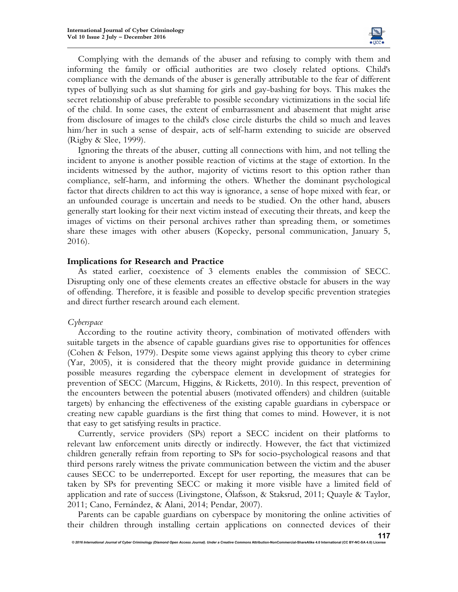

Complying with the demands of the abuser and refusing to comply with them and informing the family or official authorities are two closely related options. Child's compliance with the demands of the abuser is generally attributable to the fear of different types of bullying such as slut shaming for girls and gay-bashing for boys. This makes the secret relationship of abuse preferable to possible secondary victimizations in the social life of the child. In some cases, the extent of embarrassment and abasement that might arise from disclosure of images to the child's close circle disturbs the child so much and leaves him/her in such a sense of despair, acts of self-harm extending to suicide are observed (Rigby & Slee, 1999).

Ignoring the threats of the abuser, cutting all connections with him, and not telling the incident to anyone is another possible reaction of victims at the stage of extortion. In the incidents witnessed by the author, majority of victims resort to this option rather than compliance, self-harm, and informing the others. Whether the dominant psychological factor that directs children to act this way is ignorance, a sense of hope mixed with fear, or an unfounded courage is uncertain and needs to be studied. On the other hand, abusers generally start looking for their next victim instead of executing their threats, and keep the images of victims on their personal archives rather than spreading them, or sometimes share these images with other abusers (Kopecky, personal communication, January 5, 2016).

#### **Implications for Research and Practice**

As stated earlier, coexistence of 3 elements enables the commission of SECC. Disrupting only one of these elements creates an effective obstacle for abusers in the way of offending. Therefore, it is feasible and possible to develop specific prevention strategies and direct further research around each element.

#### *Cyberspace*

According to the routine activity theory, combination of motivated offenders with suitable targets in the absence of capable guardians gives rise to opportunities for offences (Cohen & Felson, 1979). Despite some views against applying this theory to cyber crime (Yar, 2005), it is considered that the theory might provide guidance in determining possible measures regarding the cyberspace element in development of strategies for prevention of SECC (Marcum, Higgins, & Ricketts, 2010). In this respect, prevention of the encounters between the potential abusers (motivated offenders) and children (suitable targets) by enhancing the effectiveness of the existing capable guardians in cyberspace or creating new capable guardians is the first thing that comes to mind. However, it is not that easy to get satisfying results in practice.

Currently, service providers (SPs) report a SECC incident on their platforms to relevant law enforcement units directly or indirectly. However, the fact that victimized children generally refrain from reporting to SPs for socio-psychological reasons and that third persons rarely witness the private communication between the victim and the abuser causes SECC to be underreported. Except for user reporting, the measures that can be taken by SPs for preventing SECC or making it more visible have a limited field of application and rate of success (Livingstone, Ólafsson, & Staksrud, 2011; Quayle & Taylor, 2011; Cano, Fernández, & Alani, 2014; Pendar, 2007).

Parents can be capable guardians on cyberspace by monitoring the online activities of their children through installing certain applications on connected devices of their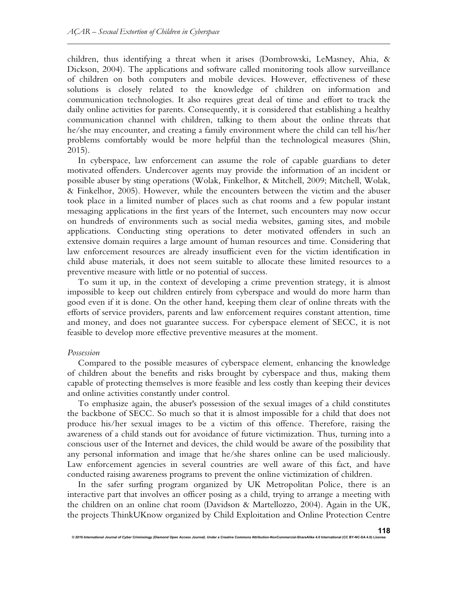children, thus identifying a threat when it arises (Dombrowski, LeMasney, Ahia, & Dickson, 2004). The applications and software called monitoring tools allow surveillance of children on both computers and mobile devices. However, effectiveness of these solutions is closely related to the knowledge of children on information and communication technologies. It also requires great deal of time and effort to track the daily online activities for parents. Consequently, it is considered that establishing a healthy communication channel with children, talking to them about the online threats that he/she may encounter, and creating a family environment where the child can tell his/her problems comfortably would be more helpful than the technological measures (Shin, 2015).

In cyberspace, law enforcement can assume the role of capable guardians to deter motivated offenders. Undercover agents may provide the information of an incident or possible abuser by sting operations (Wolak, Finkelhor, & Mitchell, 2009; Mitchell, Wolak, & Finkelhor, 2005). However, while the encounters between the victim and the abuser took place in a limited number of places such as chat rooms and a few popular instant messaging applications in the first years of the Internet, such encounters may now occur on hundreds of environments such as social media websites, gaming sites, and mobile applications. Conducting sting operations to deter motivated offenders in such an extensive domain requires a large amount of human resources and time. Considering that law enforcement resources are already insufficient even for the victim identification in child abuse materials, it does not seem suitable to allocate these limited resources to a preventive measure with little or no potential of success.

To sum it up, in the context of developing a crime prevention strategy, it is almost impossible to keep out children entirely from cyberspace and would do more harm than good even if it is done. On the other hand, keeping them clear of online threats with the efforts of service providers, parents and law enforcement requires constant attention, time and money, and does not guarantee success. For cyberspace element of SECC, it is not feasible to develop more effective preventive measures at the moment.

#### *Possession*

Compared to the possible measures of cyberspace element, enhancing the knowledge of children about the benefits and risks brought by cyberspace and thus, making them capable of protecting themselves is more feasible and less costly than keeping their devices and online activities constantly under control.

To emphasize again, the abuser's possession of the sexual images of a child constitutes the backbone of SECC. So much so that it is almost impossible for a child that does not produce his/her sexual images to be a victim of this offence. Therefore, raising the awareness of a child stands out for avoidance of future victimization. Thus, turning into a conscious user of the Internet and devices, the child would be aware of the possibility that any personal information and image that he/she shares online can be used maliciously. Law enforcement agencies in several countries are well aware of this fact, and have conducted raising awareness programs to prevent the online victimization of children.

In the safer surfing program organized by UK Metropolitan Police, there is an interactive part that involves an officer posing as a child, trying to arrange a meeting with the children on an online chat room (Davidson & Martellozzo, 2004). Again in the UK, the projects ThinkUKnow organized by Child Exploitation and Online Protection Centre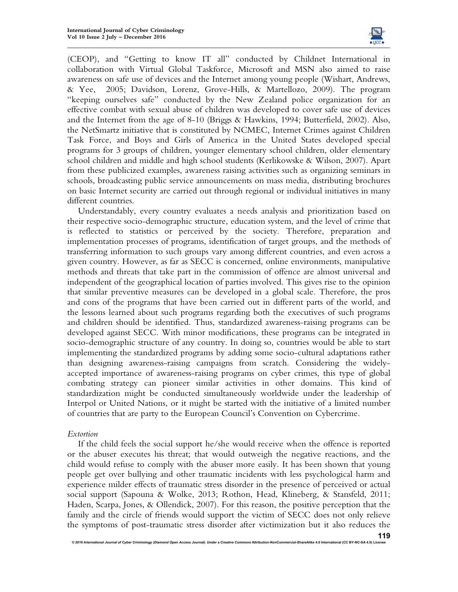

(CEOP), and "Getting to know IT all" conducted by Childnet International in collaboration with Virtual Global Taskforce, Microsoft and MSN also aimed to raise awareness on safe use of devices and the Internet among young people (Wishart, Andrews, & Yee, 2005; Davidson, Lorenz, Grove-Hills, & Martellozo, 2009). The program "keeping ourselves safe" conducted by the New Zealand police organization for an effective combat with sexual abuse of children was developed to cover safe use of devices and the Internet from the age of 8-10 (Briggs & Hawkins, 1994; Butterfield, 2002). Also, the NetSmartz initiative that is constituted by NCMEC, Internet Crimes against Children Task Force, and Boys and Girls of America in the United States developed special programs for 3 groups of children, younger elementary school children, older elementary school children and middle and high school students (Kerlikowske & Wilson, 2007). Apart from these publicized examples, awareness raising activities such as organizing seminars in schools, broadcasting public service announcements on mass media, distributing brochures on basic Internet security are carried out through regional or individual initiatives in many different countries.

Understandably, every country evaluates a needs analysis and prioritization based on their respective socio-demographic structure, education system, and the level of crime that is reflected to statistics or perceived by the society. Therefore, preparation and implementation processes of programs, identification of target groups, and the methods of transferring information to such groups vary among different countries, and even across a given country. However, as far as SECC is concerned, online environments, manipulative methods and threats that take part in the commission of offence are almost universal and independent of the geographical location of parties involved. This gives rise to the opinion that similar preventive measures can be developed in a global scale. Therefore, the pros and cons of the programs that have been carried out in different parts of the world, and the lessons learned about such programs regarding both the executives of such programs and children should be identified. Thus, standardized awareness-raising programs can be developed against SECC. With minor modifications, these programs can be integrated in socio-demographic structure of any country. In doing so, countries would be able to start implementing the standardized programs by adding some socio-cultural adaptations rather than designing awareness-raising campaigns from scratch. Considering the widelyaccepted importance of awareness-raising programs on cyber crimes, this type of global combating strategy can pioneer similar activities in other domains. This kind of standardization might be conducted simultaneously worldwide under the leadership of Interpol or United Nations, or it might be started with the initiative of a limited number of countries that are party to the European Council's Convention on Cybercrime.

## *Extortion*

If the child feels the social support he/she would receive when the offence is reported or the abuser executes his threat; that would outweigh the negative reactions, and the child would refuse to comply with the abuser more easily. It has been shown that young people get over bullying and other traumatic incidents with less psychological harm and experience milder effects of traumatic stress disorder in the presence of perceived or actual social support (Sapouna & Wolke, 2013; Rothon, Head, Klineberg, & Stansfeld, 2011; Haden, Scarpa, Jones, & Ollendick, 2007). For this reason, the positive perception that the family and the circle of friends would support the victim of SECC does not only relieve the symptoms of post-traumatic stress disorder after victimization but it also reduces the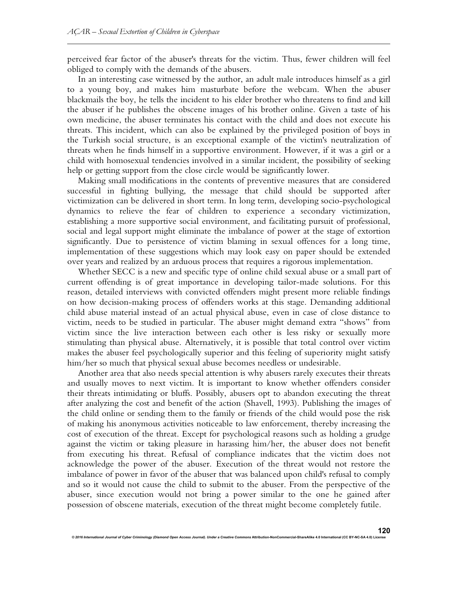perceived fear factor of the abuser's threats for the victim. Thus, fewer children will feel obliged to comply with the demands of the abusers.

In an interesting case witnessed by the author, an adult male introduces himself as a girl to a young boy, and makes him masturbate before the webcam. When the abuser blackmails the boy, he tells the incident to his elder brother who threatens to find and kill the abuser if he publishes the obscene images of his brother online. Given a taste of his own medicine, the abuser terminates his contact with the child and does not execute his threats. This incident, which can also be explained by the privileged position of boys in the Turkish social structure, is an exceptional example of the victim's neutralization of threats when he finds himself in a supportive environment. However, if it was a girl or a child with homosexual tendencies involved in a similar incident, the possibility of seeking help or getting support from the close circle would be significantly lower.

Making small modifications in the contents of preventive measures that are considered successful in fighting bullying, the message that child should be supported after victimization can be delivered in short term. In long term, developing socio-psychological dynamics to relieve the fear of children to experience a secondary victimization, establishing a more supportive social environment, and facilitating pursuit of professional, social and legal support might eliminate the imbalance of power at the stage of extortion significantly. Due to persistence of victim blaming in sexual offences for a long time, implementation of these suggestions which may look easy on paper should be extended over years and realized by an arduous process that requires a rigorous implementation.

Whether SECC is a new and specific type of online child sexual abuse or a small part of current offending is of great importance in developing tailor-made solutions. For this reason, detailed interviews with convicted offenders might present more reliable findings on how decision-making process of offenders works at this stage. Demanding additional child abuse material instead of an actual physical abuse, even in case of close distance to victim, needs to be studied in particular. The abuser might demand extra "shows" from victim since the live interaction between each other is less risky or sexually more stimulating than physical abuse. Alternatively, it is possible that total control over victim makes the abuser feel psychologically superior and this feeling of superiority might satisfy him/her so much that physical sexual abuse becomes needless or undesirable.

Another area that also needs special attention is why abusers rarely executes their threats and usually moves to next victim. It is important to know whether offenders consider their threats intimidating or bluffs. Possibly, abusers opt to abandon executing the threat after analyzing the cost and benefit of the action (Shavell, 1993). Publishing the images of the child online or sending them to the family or friends of the child would pose the risk of making his anonymous activities noticeable to law enforcement, thereby increasing the cost of execution of the threat. Except for psychological reasons such as holding a grudge against the victim or taking pleasure in harassing him/her, the abuser does not benefit from executing his threat. Refusal of compliance indicates that the victim does not acknowledge the power of the abuser. Execution of the threat would not restore the imbalance of power in favor of the abuser that was balanced upon child's refusal to comply and so it would not cause the child to submit to the abuser. From the perspective of the abuser, since execution would not bring a power similar to the one he gained after possession of obscene materials, execution of the threat might become completely futile.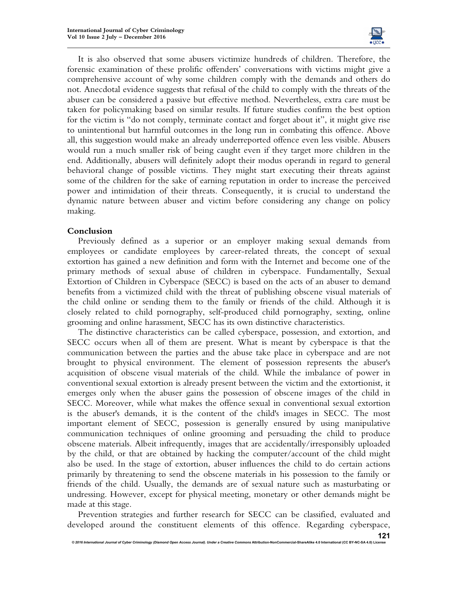

It is also observed that some abusers victimize hundreds of children. Therefore, the forensic examination of these prolific offenders' conversations with victims might give a comprehensive account of why some children comply with the demands and others do not. Anecdotal evidence suggests that refusal of the child to comply with the threats of the abuser can be considered a passive but effective method. Nevertheless, extra care must be taken for policymaking based on similar results. If future studies confirm the best option for the victim is "do not comply, terminate contact and forget about it", it might give rise to unintentional but harmful outcomes in the long run in combating this offence. Above all, this suggestion would make an already underreported offence even less visible. Abusers would run a much smaller risk of being caught even if they target more children in the end. Additionally, abusers will definitely adopt their modus operandi in regard to general behavioral change of possible victims. They might start executing their threats against some of the children for the sake of earning reputation in order to increase the perceived power and intimidation of their threats. Consequently, it is crucial to understand the dynamic nature between abuser and victim before considering any change on policy making.

## **Conclusion**

Previously defined as a superior or an employer making sexual demands from employees or candidate employees by career-related threats, the concept of sexual extortion has gained a new definition and form with the Internet and become one of the primary methods of sexual abuse of children in cyberspace. Fundamentally, Sexual Extortion of Children in Cyberspace (SECC) is based on the acts of an abuser to demand benefits from a victimized child with the threat of publishing obscene visual materials of the child online or sending them to the family or friends of the child. Although it is closely related to child pornography, self-produced child pornography, sexting, online grooming and online harassment, SECC has its own distinctive characteristics.

The distinctive characteristics can be called cyberspace, possession, and extortion, and SECC occurs when all of them are present. What is meant by cyberspace is that the communication between the parties and the abuse take place in cyberspace and are not brought to physical environment. The element of possession represents the abuser's acquisition of obscene visual materials of the child. While the imbalance of power in conventional sexual extortion is already present between the victim and the extortionist, it emerges only when the abuser gains the possession of obscene images of the child in SECC. Moreover, while what makes the offence sexual in conventional sexual extortion is the abuser's demands, it is the content of the child's images in SECC. The most important element of SECC, possession is generally ensured by using manipulative communication techniques of online grooming and persuading the child to produce obscene materials. Albeit infrequently, images that are accidentally/irresponsibly uploaded by the child, or that are obtained by hacking the computer/account of the child might also be used. In the stage of extortion, abuser influences the child to do certain actions primarily by threatening to send the obscene materials in his possession to the family or friends of the child. Usually, the demands are of sexual nature such as masturbating or undressing. However, except for physical meeting, monetary or other demands might be made at this stage.

Prevention strategies and further research for SECC can be classified, evaluated and developed around the constituent elements of this offence. Regarding cyberspace,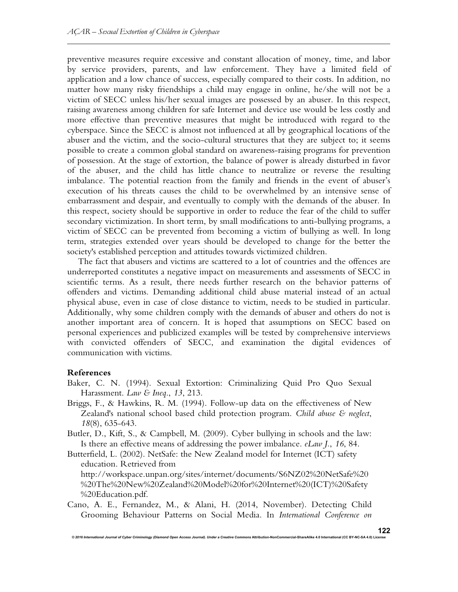preventive measures require excessive and constant allocation of money, time, and labor by service providers, parents, and law enforcement. They have a limited field of application and a low chance of success, especially compared to their costs. In addition, no matter how many risky friendships a child may engage in online, he/she will not be a victim of SECC unless his/her sexual images are possessed by an abuser. In this respect, raising awareness among children for safe Internet and device use would be less costly and more effective than preventive measures that might be introduced with regard to the cyberspace. Since the SECC is almost not influenced at all by geographical locations of the abuser and the victim, and the socio-cultural structures that they are subject to; it seems possible to create a common global standard on awareness-raising programs for prevention of possession. At the stage of extortion, the balance of power is already disturbed in favor of the abuser, and the child has little chance to neutralize or reverse the resulting imbalance. The potential reaction from the family and friends in the event of abuser's execution of his threats causes the child to be overwhelmed by an intensive sense of embarrassment and despair, and eventually to comply with the demands of the abuser. In this respect, society should be supportive in order to reduce the fear of the child to suffer secondary victimization. In short term, by small modifications to anti-bullying programs, a victim of SECC can be prevented from becoming a victim of bullying as well. In long term, strategies extended over years should be developed to change for the better the society's established perception and attitudes towards victimized children.

The fact that abusers and victims are scattered to a lot of countries and the offences are underreported constitutes a negative impact on measurements and assessments of SECC in scientific terms. As a result, there needs further research on the behavior patterns of offenders and victims. Demanding additional child abuse material instead of an actual physical abuse, even in case of close distance to victim, needs to be studied in particular. Additionally, why some children comply with the demands of abuser and others do not is another important area of concern. It is hoped that assumptions on SECC based on personal experiences and publicized examples will be tested by comprehensive interviews with convicted offenders of SECC, and examination the digital evidences of communication with victims.

## **References**

- Baker, C. N. (1994). Sexual Extortion: Criminalizing Quid Pro Quo Sexual Harassment. *Law & Ineq*., *13*, 213.
- Briggs, F., & Hawkins, R. M. (1994). Follow-up data on the effectiveness of New Zealand's national school based child protection program. *Child abuse & neglect*, *18*(8), 635-643.
- Butler, D., Kift, S., & Campbell, M. (2009). Cyber bullying in schools and the law: Is there an effective means of addressing the power imbalance. *eLaw J.*, *16*, 84.
- Butterfield, L. (2002). NetSafe: the New Zealand model for Internet (ICT) safety education. Retrieved from http://workspace.unpan.org/sites/internet/documents/S6NZ02%20NetSafe%20 %20The%20New%20Zealand%20Model%20for%20Internet%20(ICT)%20Safety %20Education.pdf.
- Cano, A. E., Fernandez, M., & Alani, H. (2014, November). Detecting Child Grooming Behaviour Patterns on Social Media. In *International Conference on*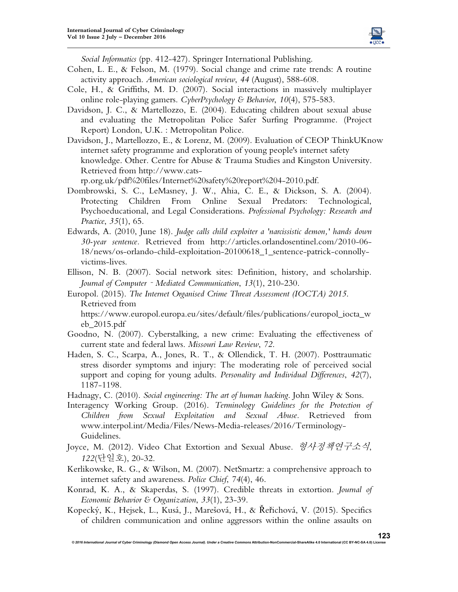

*Social Informatics* (pp. 412-427). Springer International Publishing.

- Cohen, L. E., & Felson, M. (1979). Social change and crime rate trends: A routine activity approach. *American sociological review*, *44* (August), 588-608.
- Cole, H., & Griffiths, M. D. (2007). Social interactions in massively multiplayer online role-playing gamers. *CyberPsychology & Behavior*, *10*(4), 575-583.
- Davidson, J. C., & Martellozzo, E. (2004). Educating children about sexual abuse and evaluating the Metropolitan Police Safer Surfing Programme. (Project Report) London, U.K. : Metropolitan Police.
- Davidson, J., Martellozzo, E., & Lorenz, M. (2009). Evaluation of CEOP ThinkUKnow internet safety programme and exploration of young people's internet safety knowledge. Other. Centre for Abuse & Trauma Studies and Kingston University. Retrieved from http://www.cats-

rp.org.uk/pdf%20files/Internet%20safety%20report%204-2010.pdf.

- Dombrowski, S. C., LeMasney, J. W., Ahia, C. E., & Dickson, S. A. (2004). Protecting Children From Online Sexual Predators: Technological, Psychoeducational, and Legal Considerations. *Professional Psychology: Research and Practice*, *35*(1), 65.
- Edwards, A. (2010, June 18). *Judge calls child exploiter a 'narcissistic demon,' hands down 30-year sentence.* Retrieved from http://articles.orlandosentinel.com/2010-06- 18/news/os-orlando-child-exploitation-20100618\_1\_sentence-patrick-connollyvictims-lives.
- Ellison, N. B. (2007). Social network sites: Definition, history, and scholarship. *Journal of Computer*‐*Mediated Communication*, *13*(1), 210-230.
- Europol. (2015). *The Internet Organised Crime Threat Assessment (IOCTA) 2015*. Retrieved from

https://www.europol.europa.eu/sites/default/files/publications/europol\_iocta\_w eb\_2015.pdf

- Goodno, N. (2007). Cyberstalking, a new crime: Evaluating the effectiveness of current state and federal laws. *Missouri Law Review*, *72*.
- Haden, S. C., Scarpa, A., Jones, R. T., & Ollendick, T. H. (2007). Posttraumatic stress disorder symptoms and injury: The moderating role of perceived social support and coping for young adults. *Personality and Individual Differences*, *42*(7), 1187-1198.
- Hadnagy, C. (2010). *Social engineering: The art of human hacking*. John Wiley & Sons.
- Interagency Working Group. (2016). *Terminology Guidelines for the Protection of Children from Sexual Exploitation and Sexual Abuse.* Retrieved from www.interpol.int/Media/Files/News-Media-releases/2016/Terminology-Guidelines.
- Joyce, M. (2012). Video Chat Extortion and Sexual Abuse. 형사정책연구소식, *122*(단일호), 20-32.
- Kerlikowske, R. G., & Wilson, M. (2007). NetSmartz: a comprehensive approach to internet safety and awareness. *Police Chief*, *74*(4), 46.
- Konrad, K. A., & Skaperdas, S. (1997). Credible threats in extortion. *Journal of Economic Behavior & Organization*, *33*(1), 23-39.
- Kopecký, K., Hejsek, L., Kusá, J., Marešová, H., & Řeřichová, V. (2015). Specifics of children communication and online aggressors within the online assaults on

 $@$  2016 International Journal of Cyber Criminology (Diamond Open Access Journal). Under a Creative Co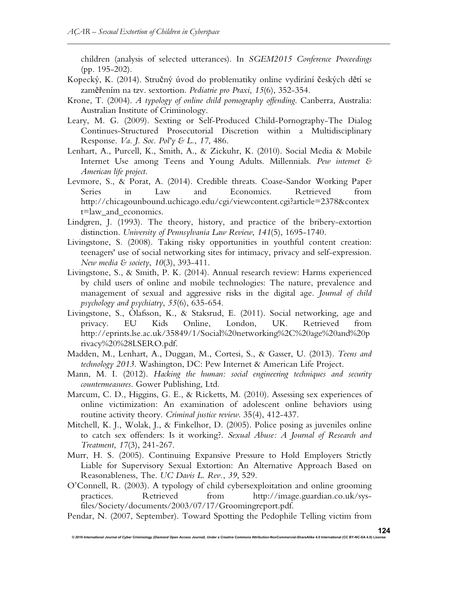children (analysis of selected utterances). In *SGEM2015 Conference Proceedings* (pp. 195-202).

- Kopecký, K. (2014). Stručný úvod do problematiky online vydírání českých dětí se zaměřením na tzv. sextortion. *Pediatrie pro Praxi*, *15*(6), 352-354.
- Krone, T. (2004). *A typology of online child pornography offending*. Canberra, Australia: Australian Institute of Criminology.
- Leary, M. G. (2009). Sexting or Self-Produced Child-Pornography-The Dialog Continues-Structured Prosecutorial Discretion within a Multidisciplinary Response. *Va. J. Soc. Pol'y & L.*, *17*, 486.
- Lenhart, A., Purcell, K., Smith, A., & Zickuhr, K. (2010). Social Media & Mobile Internet Use among Teens and Young Adults. Millennials. *Pew internet & American life project*.
- Levmore, S., & Porat, A. (2014). Credible threats. Coase-Sandor Working Paper Series in Law and Economics. Retrieved from http://chicagounbound.uchicago.edu/cgi/viewcontent.cgi?article=2378&contex t=law\_and\_economics.
- Lindgren, J. (1993). The theory, history, and practice of the bribery-extortion distinction. *University of Pennsylvania Law Review*, *141*(5), 1695-1740.
- Livingstone, S. (2008). Taking risky opportunities in youthful content creation: teenagers' use of social networking sites for intimacy, privacy and self-expression. *New media & society*, *10*(3), 393-411.
- Livingstone, S., & Smith, P. K. (2014). Annual research review: Harms experienced by child users of online and mobile technologies: The nature, prevalence and management of sexual and aggressive risks in the digital age. *Journal of child psychology and psychiatry*, *55*(6), 635-654.
- Livingstone, S., Ólafsson, K., & Staksrud, E. (2011). Social networking, age and privacy. EU Kids Online, London, UK. Retrieved from http://eprints.lse.ac.uk/35849/1/Social%20networking%2C%20age%20and%20p rivacy%20%28LSERO.pdf.
- Madden, M., Lenhart, A., Duggan, M., Cortesi, S., & Gasser, U. (2013). *Teens and technology 2013*. Washington, DC: Pew Internet & American Life Project.
- Mann, M. I. (2012). *Hacking the human: social engineering techniques and security countermeasures*. Gower Publishing, Ltd.
- Marcum, C. D., Higgins, G. E., & Ricketts, M. (2010). Assessing sex experiences of online victimization: An examination of adolescent online behaviors using routine activity theory. *Criminal justice review*. 35(4), 412-437.
- Mitchell, K. J., Wolak, J., & Finkelhor, D. (2005). Police posing as juveniles online to catch sex offenders: Is it working?. *Sexual Abuse: A Journal of Research and Treatment*, *17*(3), 241-267.
- Murr, H. S. (2005). Continuing Expansive Pressure to Hold Employers Strictly Liable for Supervisory Sexual Extortion: An Alternative Approach Based on Reasonableness, The. *UC Davis L. Rev.*, *39*, 529.
- O'Connell, R. (2003). A typology of child cybersexploitation and online grooming practices. Retrieved from http://image.guardian.co.uk/sysfiles/Society/documents/2003/07/17/Groomingreport.pdf.
- Pendar, N. (2007, September). Toward Spotting the Pedophile Telling victim from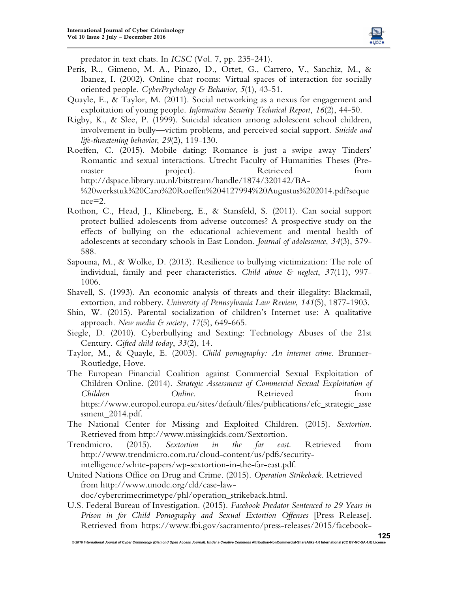

predator in text chats. In *ICSC* (Vol. 7, pp. 235-241).

- Peris, R., Gimeno, M. A., Pinazo, D., Ortet, G., Carrero, V., Sanchiz, M., & Ibanez, I. (2002). Online chat rooms: Virtual spaces of interaction for socially oriented people. *CyberPsychology & Behavior*, *5*(1), 43-51.
- Quayle, E., & Taylor, M. (2011). Social networking as a nexus for engagement and exploitation of young people. *Information Security Technical Report*, *16*(2), 44-50.
- Rigby, K., & Slee, P. (1999). Suicidal ideation among adolescent school children, involvement in bully—victim problems, and perceived social support. *Suicide and life-threatening behavior*, *29*(2), 119-130.
- Roeffen, C. (2015). Mobile dating: Romance is just a swipe away Tinders' Romantic and sexual interactions. Utrecht Faculty of Humanities Theses (Premaster **project**). Retrieved from http://dspace.library.uu.nl/bitstream/handle/1874/320142/BA- %20werkstuk%20Caro%20Roeffen%204127994%20Augustus%202014.pdf?seque nce=2.
- Rothon, C., Head, J., Klineberg, E., & Stansfeld, S. (2011). Can social support protect bullied adolescents from adverse outcomes? A prospective study on the effects of bullying on the educational achievement and mental health of adolescents at secondary schools in East London. *Journal of adolescence*, *34*(3), 579- 588.
- Sapouna, M., & Wolke, D. (2013). Resilience to bullying victimization: The role of individual, family and peer characteristics. *Child abuse & neglect*, *37*(11), 997- 1006.
- Shavell, S. (1993). An economic analysis of threats and their illegality: Blackmail, extortion, and robbery. *University of Pennsylvania Law Review*, *141*(5), 1877-1903.
- Shin, W. (2015). Parental socialization of children's Internet use: A qualitative approach. *New media & society*, *17*(5), 649-665.
- Siegle, D. (2010). Cyberbullying and Sexting: Technology Abuses of the 21st Century. *Gifted child today*, *33*(2), 14.
- Taylor, M., & Quayle, E. (2003). *Child pornography: An internet crime*. Brunner-Routledge, Hove.
- The European Financial Coalition against Commercial Sexual Exploitation of Children Online. (2014). *Strategic Assessment of Commercial Sexual Exploitation of Children* **Children** *Online*. Retrieved **from** https://www.europol.europa.eu/sites/default/files/publications/efc\_strategic\_asse ssment\_2014.pdf.
- The National Center for Missing and Exploited Children. (2015). *Sextortion*. Retrieved from http://www.missingkids.com/Sextortion.
- Trendmicro. (2015). *Sextortion in the far east*. Retrieved from http://www.trendmicro.com.ru/cloud-content/us/pdfs/securityintelligence/white-papers/wp-sextortion-in-the-far-east.pdf.
- United Nations Office on Drug and Crime. (2015). *Operation Strikeback*. Retrieved from http://www.unodc.org/cld/case-lawdoc/cybercrimecrimetype/phl/operation\_strikeback.html.
- U.S. Federal Bureau of Investigation. (2015). *Facebook Predator Sentenced to 29 Years in Prison in for Child Pornography and Sexual Extortion Offenses* [Press Release]. Retrieved from https://www.fbi.gov/sacramento/press-releases/2015/facebook-

 $@$  2016 International Journal of Cyber Criminology (Diamond Open Access Journal). Under a Creative Con